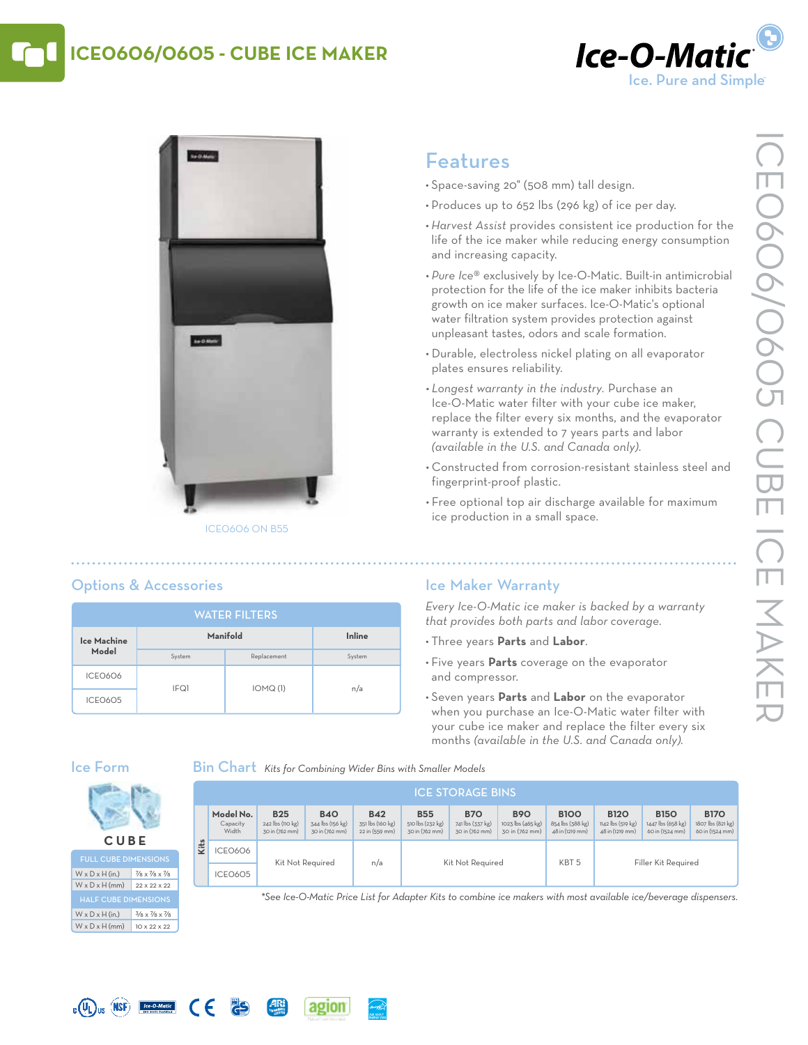# **ICE0606/0605 - Cube Ice Maker**





#### ICE0606 on B55

# Features

- • Space-saving 20" (508 mm) tall design.
- Produces up to 652 lbs (296 kg) of ice per day.
- *• Harvest Assist* provides consistent ice production for the life of the ice maker while reducing energy consumption and increasing capacity.
- *• Pure Ice*® exclusively by Ice-O-Matic. Built-in antimicrobial protection for the life of the ice maker inhibits bacteria growth on ice maker surfaces. Ice-O-Matic's optional water filtration system provides protection against unpleasant tastes, odors and scale formation.
- • Durable, electroless nickel plating on all evaporator plates ensures reliability.
- *• Longest warranty in the industry.* Purchase an Ice-O-Matic water filter with your cube ice maker, replace the filter every six months, and the evaporator warranty is extended to 7 years parts and labor *(available in the U.S. and Canada only)*.
- • Constructed from corrosion-resistant stainless steel and fingerprint-proof plastic.
- Free optional top air discharge available for maximum ice production in a small space.

# Options & Accessories

| <b>WATER FILTERS</b> |          |             |        |  |  |  |  |  |
|----------------------|----------|-------------|--------|--|--|--|--|--|
| Ice Machine<br>Model | Manifold | Inline      |        |  |  |  |  |  |
|                      | System   | Replacement | System |  |  |  |  |  |
| <b>ICEO6O6</b>       | IFQ1     | IOMQ(1)     | n/a    |  |  |  |  |  |
| ICEO6O5              |          |             |        |  |  |  |  |  |

# Ice Maker Warranty

*Every Ice-O-Matic ice maker is backed by a warranty that provides both parts and labor coverage.*

- • Three years **Parts** and **Labor**.
- • Five years **Parts** coverage on the evaporator and compressor.
- • Seven years **Parts** and **Labor** on the evaporator when you purchase an Ice-O-Matic water filter with your cube ice maker and replace the filter every six months *(available in the U.S. and Canada only).*

### Ice Form

**C UB E** Full Cube Dimensions  $W \times D \times H$  (in.) 7/8 x 7/8 x 7/8  $W \times D \times H$  (mm) 22 x 22 x 22

W x D x H (in.)  $3/8 \times 7/8 \times 7/8$  $W \times D \times H$  (mm) 10 x 22 x 22

 $\epsilon$ 

**PS** 

Bin Chart *Kits for Combining Wider Bins with Smaller Models*

agion

|      | <b>ICE STORAGE BINS</b>        |                                                  |                                                  |                                                  |                                                  |                                                  |                                                   |                                                    |                                                     |                                                     |                                                     |
|------|--------------------------------|--------------------------------------------------|--------------------------------------------------|--------------------------------------------------|--------------------------------------------------|--------------------------------------------------|---------------------------------------------------|----------------------------------------------------|-----------------------------------------------------|-----------------------------------------------------|-----------------------------------------------------|
|      | Model No.<br>Capacity<br>Width | <b>B25</b><br>242 lbs (110 kg)<br>30 in (762 mm) | <b>B40</b><br>344 lbs (156 kg)<br>30 in (762 mm) | <b>B42</b><br>351 lbs (160 kg)<br>22 in (559 mm) | <b>B55</b><br>510 lbs (232 kg)<br>30 in (762 mm) | <b>B70</b><br>741 lbs (337 kg)<br>30 in (762 mm) | <b>B90</b><br>1023 lbs (465 kg)<br>30 in (762 mm) | <b>B100</b><br>854 lbs (388 kg)<br>48 in (1219 mm) | <b>B120</b><br>1142 lbs (519 kg)<br>48 in (1219 mm) | <b>B150</b><br>1447 lbs (658 kg)<br>60 in (1524 mm) | <b>B170</b><br>1807 lbs (821 kg)<br>60 in (1524 mm) |
| Kits | ICEO6O6                        | Kit Not Required                                 |                                                  |                                                  | Kit Not Required                                 |                                                  |                                                   | KBT <sub>5</sub>                                   | Filler Kit Required                                 |                                                     |                                                     |
|      | ICEO6O5                        |                                                  |                                                  |                                                  | n/a                                              |                                                  |                                                   |                                                    |                                                     |                                                     |                                                     |

*\*See Ice-O-Matic Price List for Adapter Kits to combine ice makers with most available ice/beverage dispensers.*